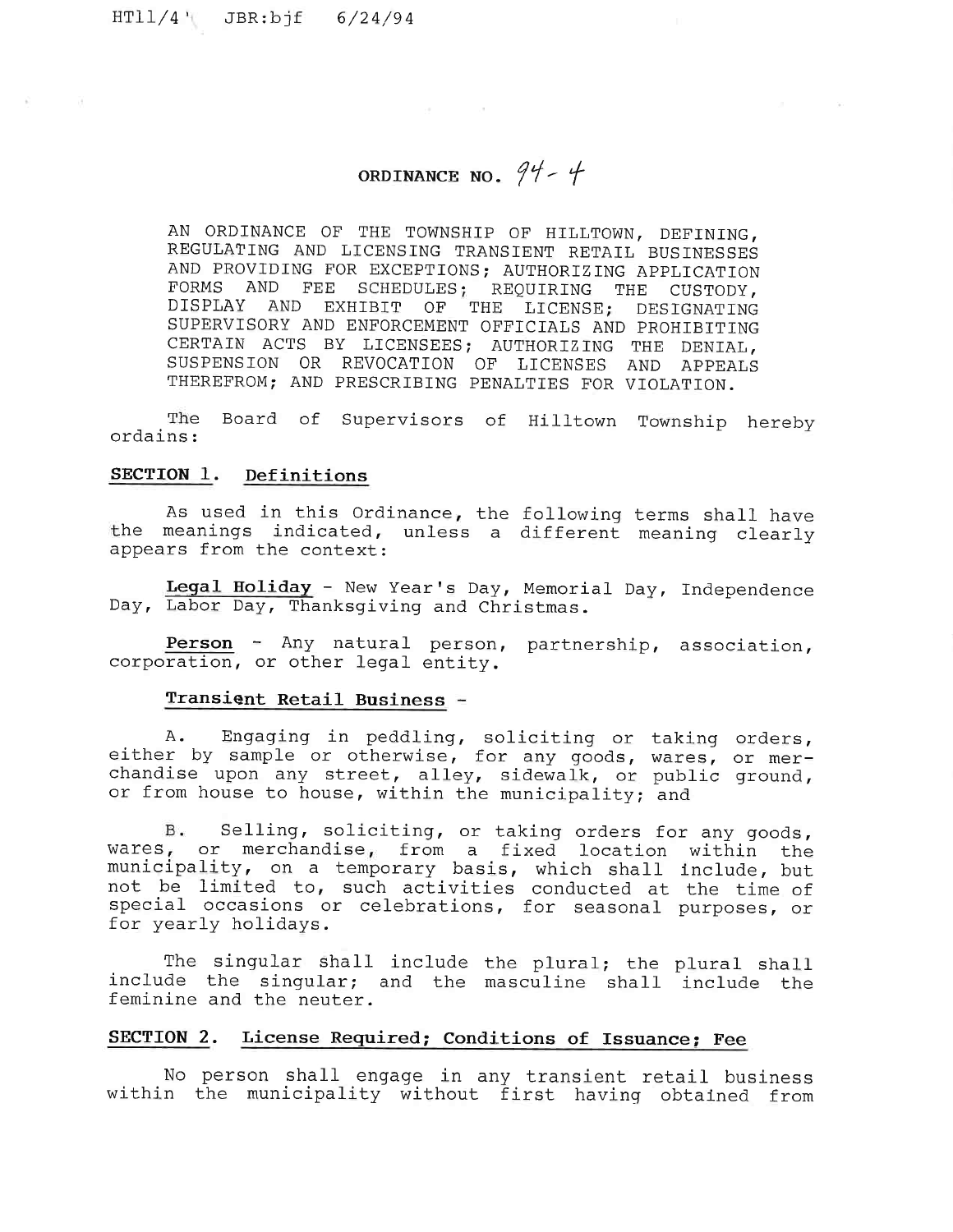$HT11/4$  JBR:bjf  $6/24/94$ 

# ORDINANCE NO.  $94 - 4$

2010/03/03 12:00

AN ORDINANCE OF THE TOWNSHIP OF HILLTOWN, DEFINING, REGULATING AND LICENSING TRANSIENT RETAIL BUSINESSES AND PROVIDING FOR EXCEPTIONS; AUTHORIZING APPLICATION<br>FORMS AND FEE SCHEDULES: REQUIRING THE CUSTODY AND FEE SCHEDULES; REQUIRING THE CUSTODY, DISPLAY AND EXHIBIT OF THE LICENSE; DESIGNATING SUPERVISORY AND ENFORCEMENT OFFICIALS AND PROHIBITING CERTAIN ACTS BY LICENSEES; AUTHORIZING THE DENIAL, SUSPENSION OR REVOCATION OF LICENSES AND APPEALS THEREFROM; AND PRESCRIBING PENALTIES FOR VIOLATION.

The Board of Supervisors of Hilltown Township hereby ordains :

# SECTION 1. Definitions

As used in this Ordinance, the following terms shall have the meanings indicated, unless a different meaning clearly appears from the context:

Legal Holiday - New Year's Day, Memorial Day, Independence Day, Labor Day, Thanksgiving and Christmas.

Person - Any natural person, partnership, associ corporation, or other legal ent

#### Transient Retail Business

A. Engaging in peddling, soliciting or taking ord $\epsilon$ either by sample or otherwise, for any goods, wares, or me chandise upon any street, alley, sidewalk, or public ground, or from house to house, within the municipality; and

B. Selling, soliciting, or taking orders for any goods, wares, or merchandise, from a fixed location within the municipality, on a temporary basis, which shall include, bu not be limited to, such activities conducted at the time of special occasions or celebrations, for seasonal purposes, or for yearly holidays.

The singular shall include the plural; the plural sha include the singular; and the masculine shall include the feminine and the neuter.

# SECTION 2. License Required; Conditions of Issuance; Fee

No person shall engage in any transient retail busi within the municipality without first having obtained fr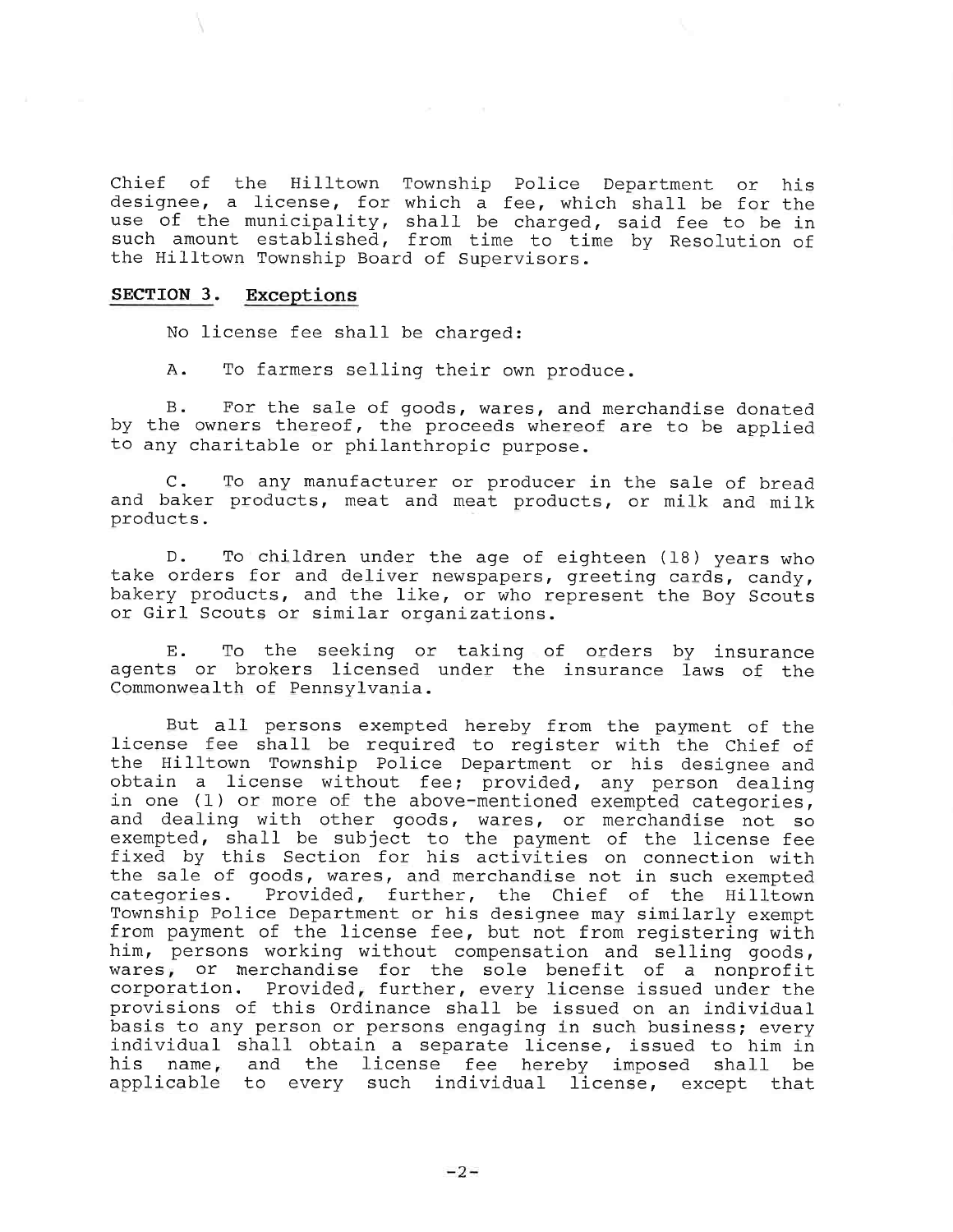Chief of the Hilltown Township Police Department or his designee, a license, for which a fee, which shall be for th use of the municipality, shall be such amount established, from tim the Hilltown Township Board of Supervi charged, said fee to be i to time by Resolution o

#### SECTION 3. Exceptions

No license fee shall be charged:

A. To farmers selling their own produce.

B. For the sale of goods, wares, and merchandise donated by the owners thereof, the proceeds whereof are to be applied to any charitable or philanthropic purpose.

C. To any manufacturer or producer in the sale of bread and baker products, meat and meat products, or milk and milk products.

D. To children under the age of eighteen (18) years who take orders for and deliver newspapers, greeting cards, candy, bakery products, and the like, or who represent the Boy Scouts or Girl Scouts or similar organizations.

E. To the seeking or taking of orders by insura agents or brokers licensed under the insurance laws of th Commonwealth of Pennsylvania.

But all persons exempted hereby from the payment of the license fee shall be required to register with the Chief of the Hilltown Township Police Department or his designee and obtain a license without fee; provided, any person dealing in one (l) or more of the above-mentioned exempted categories, and dealing with other goods, wares, or merchandise not so exempted, shall be subject to the payment of the license fee fixed by this Section for his activities on connection with the sale of goods, wares, and merchandise not in such exempted categories. Provided, further, the Chief of the Hilltown Township Police Department or his designee may similarly exempt from payment of the license fee, but not from registering with him, persons working without compensation and selling goods, wares, or merchandise for the sole benefit of a nonprofit corporation. Provided, further, every license issued under the provisions of this Ordinance shall be issued on an individual basis to any person or persons engaging in such business; every individual shall obtain a separate license, issued to him in his name, and the license fee hereby imposed shall be applicable to every such individual license, except that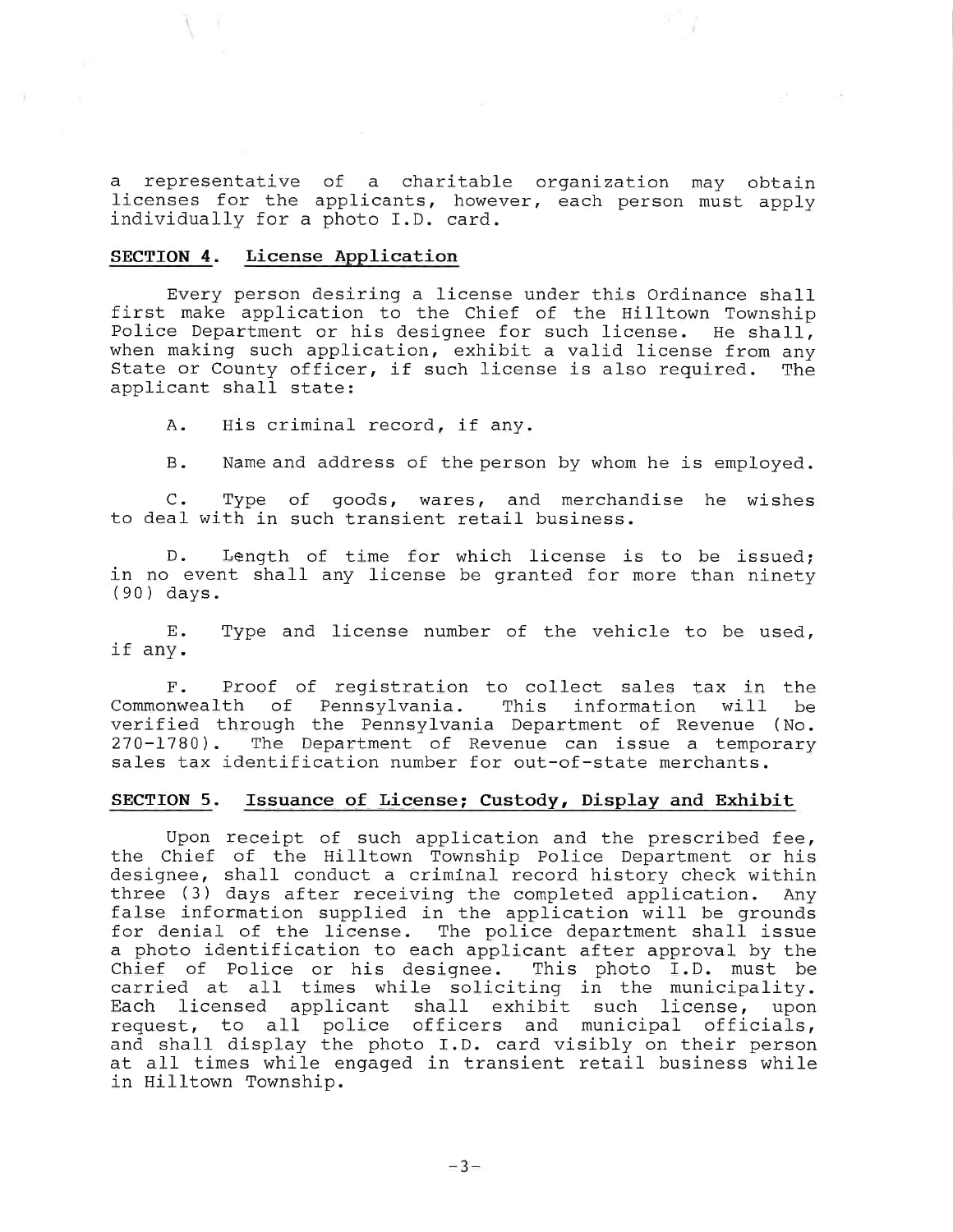a representative of a charitable organization may obtain licenses for the applicants, however, each person must apply individually for a photo I.D. card.

# SECTION 4. License Application

Every person desiring a license under this Ordinance shall first make application to the Chief of the Hilltown Township Police Department or his designee for such license. He shall, when making such application, exhibit a valid license from any State or County officer, if such license is also required. The applicant shall state:

A. His criminal record, if any.

B. Name and address of the person by whom he is employed.

C. Type of goods, wares, and merchandise he wis! to deal with in such transient retail busin

D. Length of time for which license is to be issued; in no event shall any license be granted for more than ninety (90) days.

E. if any. Type and license number of the vehicle to be used,

F. Proof of registration to collect sales tax in the<br>Commonwealth of Pennsylvania. This information will be Pennsylvania. This information will be verified through the Pennsylvania Department of Revenue (No. 270-1780). The Department of Revenue can issue a temporary sales tax identification number for out-of-state merchants.

### SECTION 5. Issuance of License; Custody, Display and Exhibit

Upon receipt of such application and the prescribed fee, the Chief of the Hilltown Township Police Department or his designee, shall conduct a criminal record history check within three (3) days after receiving the completed application. Any false information supplied in the application will be grounds for denial of the license. The police department shall issue a photo identification to each applicant after approval by the Chief of Police or his designee. This photo I.D. must be carried at all times while soliciting in the municipality. Each licensed applicant shall exhibit such license, upon request, to all police officers and municipal offi and shall display the photo I.D. card visibly on their pers at all times while engaged in transient retail business while in Hilltown Township.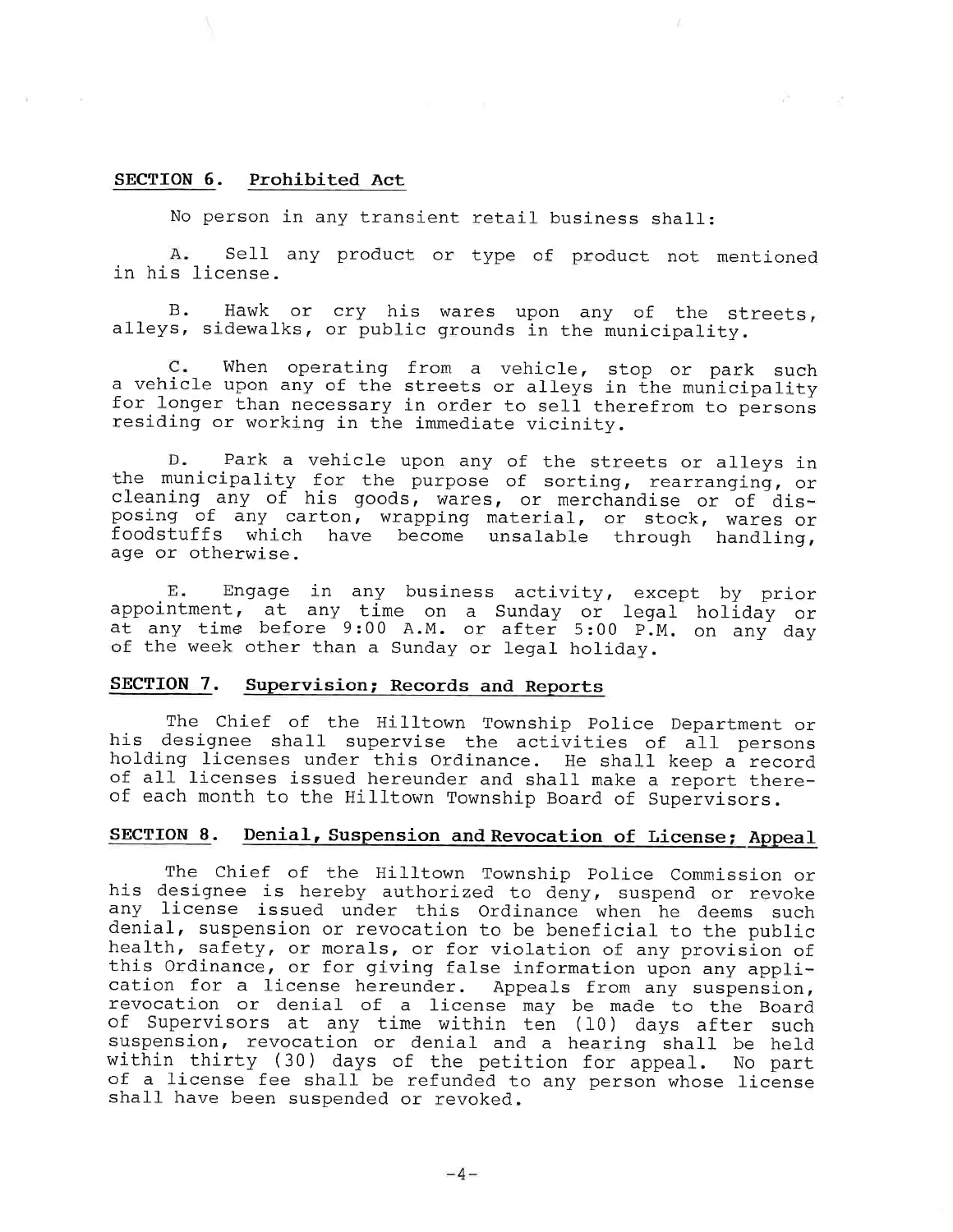## SECTION 6. Prohibited Act

No person in any transient retail business shall:

A. Sell any product or type of product not mentioned in his license.

B. alleys, sidewalks, or public grounds in the munici Hawk or cry his wares upon any of the streets,

 $c$ . when operating from a vehicle, stop or park su $\alpha$ a venicle upon any of the streets or alleys in the munici for longer than necessary in order to sell therefrom to persons residing or working in the immediate vicinity.

D. Park a vehicle upon any of the streets or alleys in the municipality for the purpose of sorting, rearranging, or cleaning any of his goods, wares, or merchandise or of disposing of any carton, wrapping material, or stock, wares or foodstuffs which have become unsalable through handling, age or otherwise.

E. Engage in any business activity, except by prior appointment, at any time on a Sunday or legal holiday or at any time before 9:00 A.M. or after 5:00 P.M. on any da of the week other than a Sunday or legal holiday.

# SECTION 7. Supervision; Records and Reports

The Chief of the Hilltown Township Police Department or his designee shall supervise the activities of all persons holding licenses under this Ordinance. He shall keep a record of all licenses issued hereunder and shall make a report thereof each month to the Hilltown Township Board of Supervisors.

# SECTION 8. Denial, Suspension and Revocation of License; Appeal

The Chief of the Hilltown Township Police Commission or his designee is hereby authorized to deny, suspend or revoke any license issued under this Ordinance when he deems such denial, suspension or revocation to be beneficial to the public health, safety, or morals, or for violation of any provision of this Ordinance, or for giving false information upon any application for a license hereunder. Appeals from any suspension, revocation or denial of a license may be made to the Board of Supervisors at any time within ten (10) days after such suspension, revocation or denial and a hearing shall be he within thirty (30) days of the petition for appeal. No part of a license fee shall be refunded to any person whose license shall have been suspended or revoked.